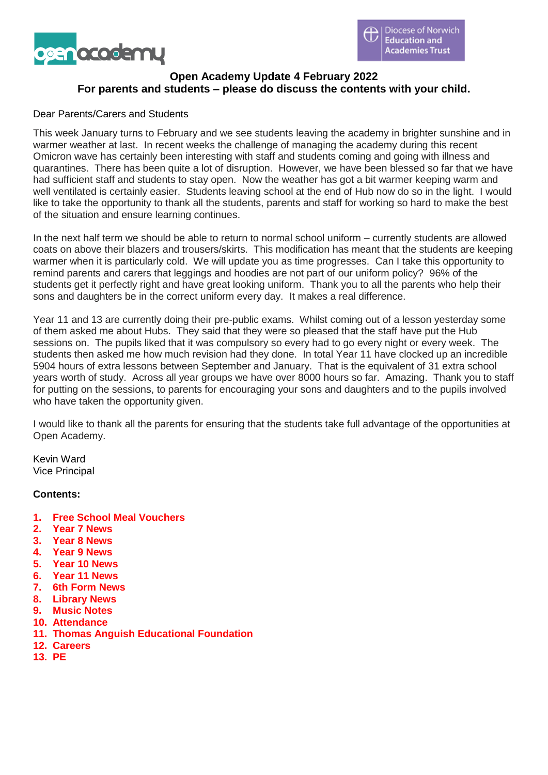

# **Open Academy Update 4 February 2022 For parents and students – please do discuss the contents with your child.**

### Dear Parents/Carers and Students

This week January turns to February and we see students leaving the academy in brighter sunshine and in warmer weather at last. In recent weeks the challenge of managing the academy during this recent Omicron wave has certainly been interesting with staff and students coming and going with illness and quarantines. There has been quite a lot of disruption. However, we have been blessed so far that we have had sufficient staff and students to stay open. Now the weather has got a bit warmer keeping warm and well ventilated is certainly easier. Students leaving school at the end of Hub now do so in the light. I would like to take the opportunity to thank all the students, parents and staff for working so hard to make the best of the situation and ensure learning continues.

In the next half term we should be able to return to normal school uniform – currently students are allowed coats on above their blazers and trousers/skirts. This modification has meant that the students are keeping warmer when it is particularly cold. We will update you as time progresses. Can I take this opportunity to remind parents and carers that leggings and hoodies are not part of our uniform policy? 96% of the students get it perfectly right and have great looking uniform. Thank you to all the parents who help their sons and daughters be in the correct uniform every day. It makes a real difference.

Year 11 and 13 are currently doing their pre-public exams. Whilst coming out of a lesson yesterday some of them asked me about Hubs. They said that they were so pleased that the staff have put the Hub sessions on. The pupils liked that it was compulsory so every had to go every night or every week. The students then asked me how much revision had they done. In total Year 11 have clocked up an incredible 5904 hours of extra lessons between September and January. That is the equivalent of 31 extra school years worth of study. Across all year groups we have over 8000 hours so far. Amazing. Thank you to staff for putting on the sessions, to parents for encouraging your sons and daughters and to the pupils involved who have taken the opportunity given.

I would like to thank all the parents for ensuring that the students take full advantage of the opportunities at Open Academy.

Kevin Ward Vice Principal

### **Contents:**

- **1. Free School Meal Vouchers**
- **2. Year 7 News**
- **3. Year 8 News**
- **4. Year 9 News**
- **5. Year 10 News**
- **6. Year 11 News**
- **7. 6th Form News**
- **8. Library News**
- **9. Music Notes**
- **10. Attendance**
- **11. Thomas Anguish Educational Foundation**
- **12. Careers**
- **13. PE**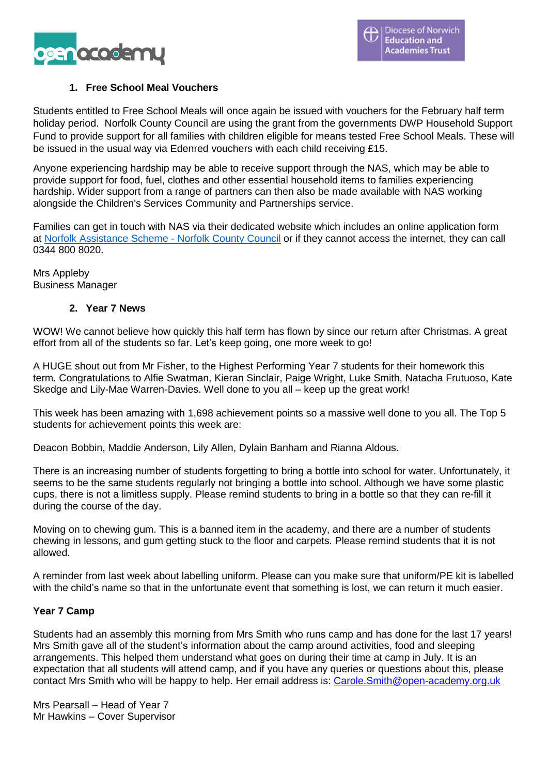

### **1. Free School Meal Vouchers**

Students entitled to Free School Meals will once again be issued with vouchers for the February half term holiday period. Norfolk County Council are using the grant from the governments DWP Household Support Fund to provide support for all families with children eligible for means tested Free School Meals. These will be issued in the usual way via Edenred vouchers with each child receiving £15.

Anyone experiencing hardship may be able to receive support through the NAS, which may be able to provide support for food, fuel, clothes and other essential household items to families experiencing hardship. Wider support from a range of partners can then also be made available with NAS working alongside the Children's Services Community and Partnerships service.

Families can get in touch with NAS via their dedicated website which includes an online application form at Norfolk [Assistance](https://www.norfolk.gov.uk/care-support-and-health/support-for-living-independently/money-and-benefits/norfolk-assistance-scheme) Scheme - Norfolk County Council or if they cannot access the internet, they can call 0344 800 8020.

Mrs Appleby Business Manager

### **2. Year 7 News**

WOW! We cannot believe how quickly this half term has flown by since our return after Christmas. A great effort from all of the students so far. Let's keep going, one more week to go!

A HUGE shout out from Mr Fisher, to the Highest Performing Year 7 students for their homework this term. Congratulations to Alfie Swatman, Kieran Sinclair, Paige Wright, Luke Smith, Natacha Frutuoso, Kate Skedge and Lily-Mae Warren-Davies. Well done to you all – keep up the great work!

This week has been amazing with 1,698 achievement points so a massive well done to you all. The Top 5 students for achievement points this week are:

Deacon Bobbin, Maddie Anderson, Lily Allen, Dylain Banham and Rianna Aldous.

There is an increasing number of students forgetting to bring a bottle into school for water. Unfortunately, it seems to be the same students regularly not bringing a bottle into school. Although we have some plastic cups, there is not a limitless supply. Please remind students to bring in a bottle so that they can re-fill it during the course of the day.

Moving on to chewing gum. This is a banned item in the academy, and there are a number of students chewing in lessons, and gum getting stuck to the floor and carpets. Please remind students that it is not allowed.

A reminder from last week about labelling uniform. Please can you make sure that uniform/PE kit is labelled with the child's name so that in the unfortunate event that something is lost, we can return it much easier.

### **Year 7 Camp**

Students had an assembly this morning from Mrs Smith who runs camp and has done for the last 17 years! Mrs Smith gave all of the student's information about the camp around activities, food and sleeping arrangements. This helped them understand what goes on during their time at camp in July. It is an expectation that all students will attend camp, and if you have any queries or questions about this, please contact Mrs Smith who will be happy to help. Her email address is: [Carole.Smith@open-academy.org.uk](mailto:Carole.Smith@open-academy.org.uk)

Mrs Pearsall – Head of Year 7 Mr Hawkins – Cover Supervisor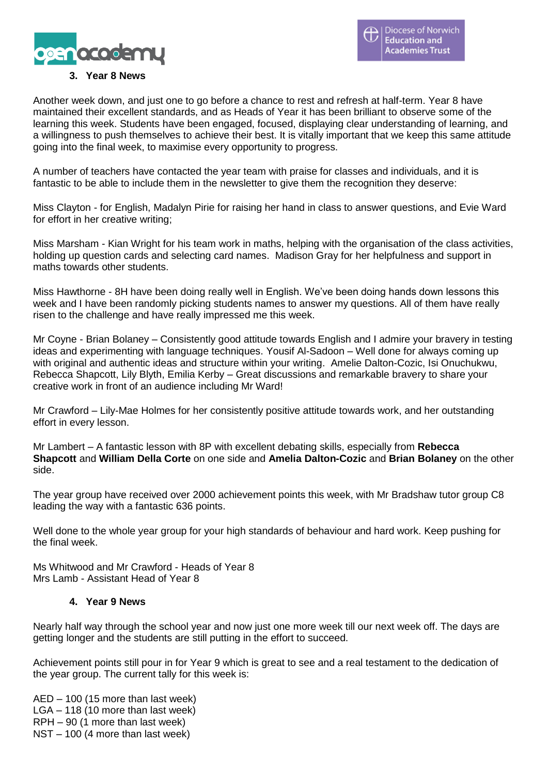

### **3. Year 8 News**

Another week down, and just one to go before a chance to rest and refresh at half-term. Year 8 have maintained their excellent standards, and as Heads of Year it has been brilliant to observe some of the learning this week. Students have been engaged, focused, displaying clear understanding of learning, and a willingness to push themselves to achieve their best. It is vitally important that we keep this same attitude going into the final week, to maximise every opportunity to progress.

A number of teachers have contacted the year team with praise for classes and individuals, and it is fantastic to be able to include them in the newsletter to give them the recognition they deserve:

Miss Clayton - for English, Madalyn Pirie for raising her hand in class to answer questions, and Evie Ward for effort in her creative writing;

Miss Marsham - Kian Wright for his team work in maths, helping with the organisation of the class activities, holding up question cards and selecting card names. Madison Gray for her helpfulness and support in maths towards other students.

Miss Hawthorne - 8H have been doing really well in English. We've been doing hands down lessons this week and I have been randomly picking students names to answer my questions. All of them have really risen to the challenge and have really impressed me this week.

Mr Coyne - Brian Bolaney – Consistently good attitude towards English and I admire your bravery in testing ideas and experimenting with language techniques. Yousif Al-Sadoon – Well done for always coming up with original and authentic ideas and structure within your writing. Amelie Dalton-Cozic, Isi Onuchukwu, Rebecca Shapcott, Lily Blyth, Emilia Kerby – Great discussions and remarkable bravery to share your creative work in front of an audience including Mr Ward!

Mr Crawford – Lily-Mae Holmes for her consistently positive attitude towards work, and her outstanding effort in every lesson.

Mr Lambert – A fantastic lesson with 8P with excellent debating skills, especially from **Rebecca Shapcott** and **William Della Corte** on one side and **Amelia Dalton-Cozic** and **Brian Bolaney** on the other side.

The year group have received over 2000 achievement points this week, with Mr Bradshaw tutor group C8 leading the way with a fantastic 636 points.

Well done to the whole year group for your high standards of behaviour and hard work. Keep pushing for the final week.

Ms Whitwood and Mr Crawford - Heads of Year 8 Mrs Lamb - Assistant Head of Year 8

### **4. Year 9 News**

Nearly half way through the school year and now just one more week till our next week off. The days are getting longer and the students are still putting in the effort to succeed.

Achievement points still pour in for Year 9 which is great to see and a real testament to the dedication of the year group. The current tally for this week is:

AED – 100 (15 more than last week) LGA – 118 (10 more than last week) RPH – 90 (1 more than last week) NST – 100 (4 more than last week)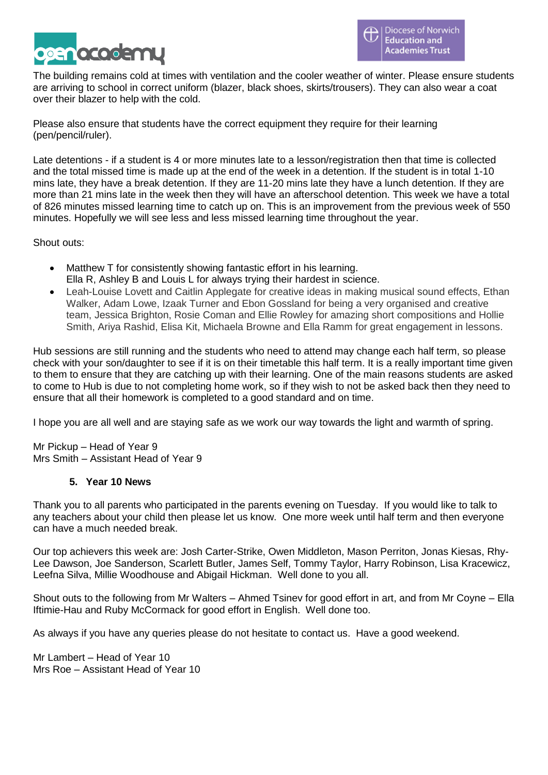

The building remains cold at times with ventilation and the cooler weather of winter. Please ensure students are arriving to school in correct uniform (blazer, black shoes, skirts/trousers). They can also wear a coat over their blazer to help with the cold.

Please also ensure that students have the correct equipment they require for their learning (pen/pencil/ruler).

Late detentions - if a student is 4 or more minutes late to a lesson/registration then that time is collected and the total missed time is made up at the end of the week in a detention. If the student is in total 1-10 mins late, they have a break detention. If they are 11-20 mins late they have a lunch detention. If they are more than 21 mins late in the week then they will have an afterschool detention. This week we have a total of 826 minutes missed learning time to catch up on. This is an improvement from the previous week of 550 minutes. Hopefully we will see less and less missed learning time throughout the year.

Shout outs:

- Matthew T for consistently showing fantastic effort in his learning. Ella R, Ashley B and Louis L for always trying their hardest in science.
- Leah-Louise Lovett and Caitlin Applegate for creative ideas in making musical sound effects, Ethan Walker, Adam Lowe, Izaak Turner and Ebon Gossland for being a very organised and creative team, Jessica Brighton, Rosie Coman and Ellie Rowley for amazing short compositions and Hollie Smith, Ariya Rashid, Elisa Kit, Michaela Browne and Ella Ramm for great engagement in lessons.

Hub sessions are still running and the students who need to attend may change each half term, so please check with your son/daughter to see if it is on their timetable this half term. It is a really important time given to them to ensure that they are catching up with their learning. One of the main reasons students are asked to come to Hub is due to not completing home work, so if they wish to not be asked back then they need to ensure that all their homework is completed to a good standard and on time.

I hope you are all well and are staying safe as we work our way towards the light and warmth of spring.

Mr Pickup – Head of Year 9 Mrs Smith – Assistant Head of Year 9

### **5. Year 10 News**

Thank you to all parents who participated in the parents evening on Tuesday. If you would like to talk to any teachers about your child then please let us know. One more week until half term and then everyone can have a much needed break.

Our top achievers this week are: Josh Carter-Strike, Owen Middleton, Mason Perriton, Jonas Kiesas, Rhy-Lee Dawson, Joe Sanderson, Scarlett Butler, James Self, Tommy Taylor, Harry Robinson, Lisa Kracewicz, Leefna Silva, Millie Woodhouse and Abigail Hickman. Well done to you all.

Shout outs to the following from Mr Walters – Ahmed Tsinev for good effort in art, and from Mr Coyne – Ella Iftimie-Hau and Ruby McCormack for good effort in English. Well done too.

As always if you have any queries please do not hesitate to contact us. Have a good weekend.

Mr Lambert – Head of Year 10 Mrs Roe – Assistant Head of Year 10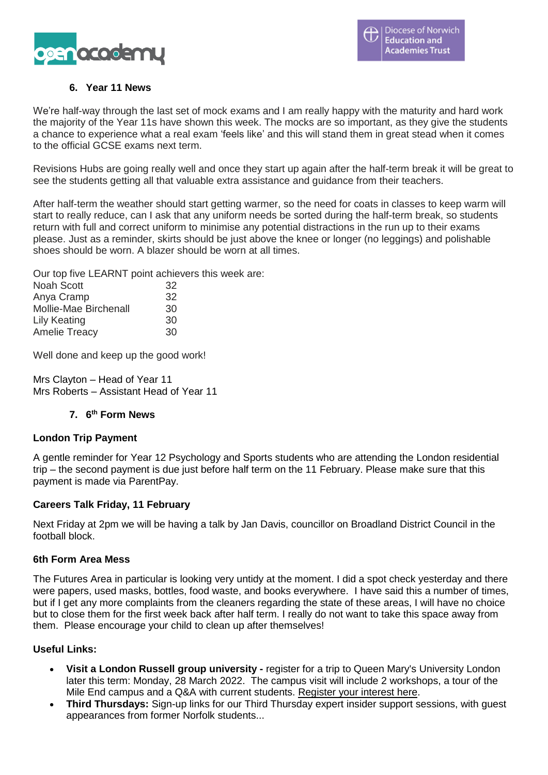

# **6. Year 11 News**

We're half-way through the last set of mock exams and I am really happy with the maturity and hard work the majority of the Year 11s have shown this week. The mocks are so important, as they give the students a chance to experience what a real exam 'feels like' and this will stand them in great stead when it comes to the official GCSE exams next term.

Revisions Hubs are going really well and once they start up again after the half-term break it will be great to see the students getting all that valuable extra assistance and guidance from their teachers.

After half-term the weather should start getting warmer, so the need for coats in classes to keep warm will start to really reduce, can I ask that any uniform needs be sorted during the half-term break, so students return with full and correct uniform to minimise any potential distractions in the run up to their exams please. Just as a reminder, skirts should be just above the knee or longer (no leggings) and polishable shoes should be worn. A blazer should be worn at all times.

Our top five LEARNT point achievers this week are:

| Noah Scott            | 32 |
|-----------------------|----|
| Anya Cramp            | 32 |
| Mollie-Mae Birchenall | 30 |
| Lily Keating          | 30 |
| <b>Amelie Treacy</b>  | 30 |
|                       |    |

Well done and keep up the good work!

Mrs Clayton – Head of Year 11 Mrs Roberts – Assistant Head of Year 11

### **7. 6 th Form News**

### **London Trip Payment**

A gentle reminder for Year 12 Psychology and Sports students who are attending the London residential trip – the second payment is due just before half term on the 11 February. Please make sure that this payment is made via ParentPay.

### **Careers Talk Friday, 11 February**

Next Friday at 2pm we will be having a talk by Jan Davis, councillor on Broadland District Council in the football block.

### **6th Form Area Mess**

The Futures Area in particular is looking very untidy at the moment. I did a spot check yesterday and there were papers, used masks, bottles, food waste, and books everywhere. I have said this a number of times, but if I get any more complaints from the cleaners regarding the state of these areas, I will have no choice but to close them for the first week back after half term. I really do not want to take this space away from them. Please encourage your child to clean up after themselves!

### **Useful Links:**

- **Visit a London Russell group university -** register for a trip to Queen Mary's University London later this term: Monday, 28 March 2022. The campus visit will include 2 workshops, a tour of the Mile End campus and a Q&A with current students. [Register](https://www.norfolk.gov.uk/sitecore%20modules/Web/EXM/RedirectUrlPage.aspx?ec_eq=fKDCimyT5OPgowHNBO4izfBdfLqviLAbv0eSyNGsjmB%2fEcLMYofSxNxZf08MGd4C3DQxjA2KXOb9RfbQ4QmmZJrzz1lmYyOZd6v%2b61DQORrLilxvjhQmMvyWdCAoyR%2fyTAZMuwsalCRvWspMOxAZfd5RpfRDWMjuEu4Yvznps56Zi7DzPBpmRJK%2fmXA5PLz8Mb3Ar8cdZ0Ds2ttdBl2fMU87l0IxK%2bWypR1hodPMp1vf4xlHL2EXZgPFTiJ7PtRrM%2f%2bJnMyiGF3n0xW3KoD4XXE398rJIVJFoOeC1YwlhfyqH5acOuads8P06KUmn74dPgxBsPS3yjYzQ1D6OIK0JHMgdF1UD5MgcUb7nBag%2b1%2feyycrV%2fOW02hjWLf1bPHmOqTtg9AwShDzRVXbnNv%2b42g3Tvl8H%2bKHnDeTyOzSdWnKRuAASGmSyHyB8vZX6hk2PoEcLHyJ7IeEWGPqwMntTA%3d%3d) your interest here.
- **Third Thursdays:** Sign-up links for our Third Thursday expert insider support sessions, with guest appearances from former Norfolk students...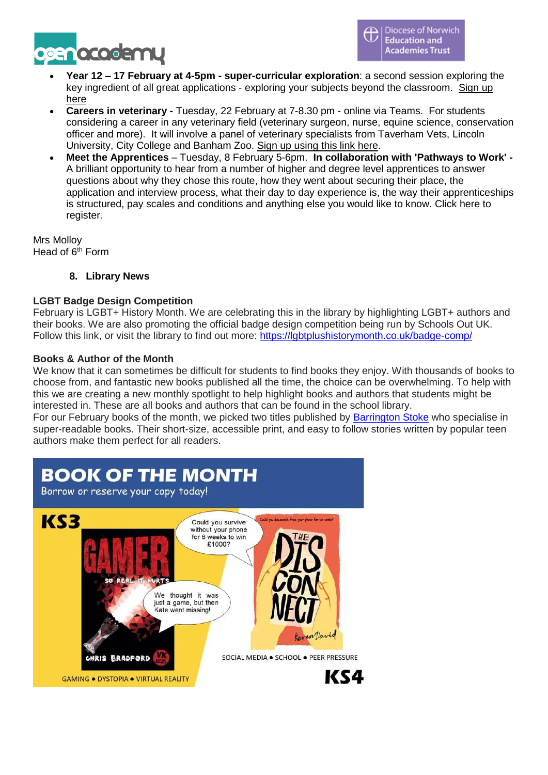

- **Year 12 – 17 February at 4-5pm - super-curricular exploration**: a second session exploring the key ingredient of all great applications - exploring your subjects beyond the classroom. [Sign](https://www.norfolk.gov.uk/sitecore%20modules/Web/EXM/RedirectUrlPage.aspx?ec_eq=26%2b9IartqJUs3tdgcAuzpm43ybc1My40w2jPevLeJzrQV5Jd8JDoRsmdH4ZH1QAQ6QFHXIShvUtcU6UotLuxAxUXtmm%2f1QsO58uobMGgZ9B3TEeQPCTlKiMlEN%2bYcEF6OL22chDlMjgsfOICMC2V0K%2fltVF%2bJtosLfOqQLUdbSaoCTSIhCkyy%2f0QbcOZXZo08m51pF9Z%2fuiGXStJB1qClo1iNZWg05GYpZxms3VRJsSLdrOlqZI2%2f8K0gLwpKhMtILyVVXZ5nrtyq5qE11kjHuXKIKb9lh6mRv9U4hRIISV62bQgiKvrDZpurl4AdzCxDhIdh2zVUVLQTzPmglddeg%3d%3d) up [here](https://www.norfolk.gov.uk/sitecore%20modules/Web/EXM/RedirectUrlPage.aspx?ec_eq=26%2b9IartqJUs3tdgcAuzpm43ybc1My40w2jPevLeJzrQV5Jd8JDoRsmdH4ZH1QAQ6QFHXIShvUtcU6UotLuxAxUXtmm%2f1QsO58uobMGgZ9B3TEeQPCTlKiMlEN%2bYcEF6OL22chDlMjgsfOICMC2V0K%2fltVF%2bJtosLfOqQLUdbSaoCTSIhCkyy%2f0QbcOZXZo08m51pF9Z%2fuiGXStJB1qClo1iNZWg05GYpZxms3VRJsSLdrOlqZI2%2f8K0gLwpKhMtILyVVXZ5nrtyq5qE11kjHuXKIKb9lh6mRv9U4hRIISV62bQgiKvrDZpurl4AdzCxDhIdh2zVUVLQTzPmglddeg%3d%3d)
- **Careers in veterinary -** Tuesday, 22 February at 7-8.30 pm online via Teams. For students considering a career in any veterinary field (veterinary surgeon, nurse, equine science, conservation officer and more). It will involve a panel of veterinary specialists from Taverham Vets, Lincoln University, City College and Banham Zoo. Sign up [using](https://www.norfolk.gov.uk/sitecore%20modules/Web/EXM/RedirectUrlPage.aspx?ec_eq=5ys3seZv0YmjXFZuRb3KA1f7MFUP5bhVpm3oIknjkuq90WHgx1tZDKg2%2feTYA4auduMecPXImzC%2biw6zHWPkPVZObzoyL0fbiTw%2f851BsHGyrKNXkjNWbwIKJdklRpyr7joUvtV9IwIf1fUCZ1z1AvevaJOqtej8d1Hk%2f2OFv4Gc1InqAPNRl2il%2foQN45Z7zQybU5W%2bg42NdkHkYO3gBZY3bS1J%2fG%2fM6uQR7eWtbQxVmo9inaZ0292bWw2G3XEj%2b4dzuRR73dgN3vme3%2fwCYlNByG%2fl%2bmDfz0SvbaOBpCHFv8OWBTXxdzaK9PCwI4pc33YjBRjCEjKPJkdSSS3aIA%3d%3d) this link here.
- **Meet the Apprentices** Tuesday, 8 February 5-6pm. **In collaboration with 'Pathways to Work' -** A brilliant opportunity to hear from a number of higher and degree level apprentices to answer questions about why they chose this route, how they went about securing their place, the application and interview process, what their day to day experience is, the way their apprenticeships is structured, pay scales and conditions and anything else you would like to know. Click [here](https://www.norfolk.gov.uk/sitecore%20modules/Web/EXM/RedirectUrlPage.aspx?ec_eq=kRj5gijRv84V8gQut8zHOkAjq1E22ymuwVooV9pM6MjOY3T2gcrQ0WMzbxpugLdvopKiJHsFCblv1e8%2bGiIc%2bw3%2fMvUMsRIOkKYvoOXXB5QdB%2by92vRosTR9X8ej7PR0cKaHqA8134umEcEcn4tlfzmRZ5fEtm1dMzwEAOuJvTAFNn2m2XdZcxS8I50cvwmvglHyJq3MehatunISkCKFR8Hyxzgj6QdM%2blK%2bGPcij8eJ%2b3DFy1oiv8yuECBoQvAVxkmGEa7XyQUtXMt0KYtgLvlOzd4Nd1Qs9CykgerGCAKGGmUhr%2fIVvmZWs8I9D8DLGLgekt7jmJqxs2d5G0UrRw%3d%3d) to register.

Mrs Molloy Head of  $6<sup>th</sup>$  Form

**8. Library News**

# **LGBT Badge Design Competition**

February is LGBT+ History Month. We are celebrating this in the library by highlighting LGBT+ authors and their books. We are also promoting the official badge design competition being run by Schools Out UK. Follow this link, or visit the library to find out more: <https://lgbtplushistorymonth.co.uk/badge-comp/>

### **Books & Author of the Month**

We know that it can sometimes be difficult for students to find books they enjoy. With thousands of books to choose from, and fantastic new books published all the time, the choice can be overwhelming. To help with this we are creating a new monthly spotlight to help highlight books and authors that students might be interested in. These are all books and authors that can be found in the school library.

For our February books of the month, we picked two titles published by **[Barrington](https://www.barringtonstoke.co.uk/) Stoke** who specialise in super-readable books. Their short-size, accessible print, and easy to follow stories written by popular teen authors make them perfect for all readers.

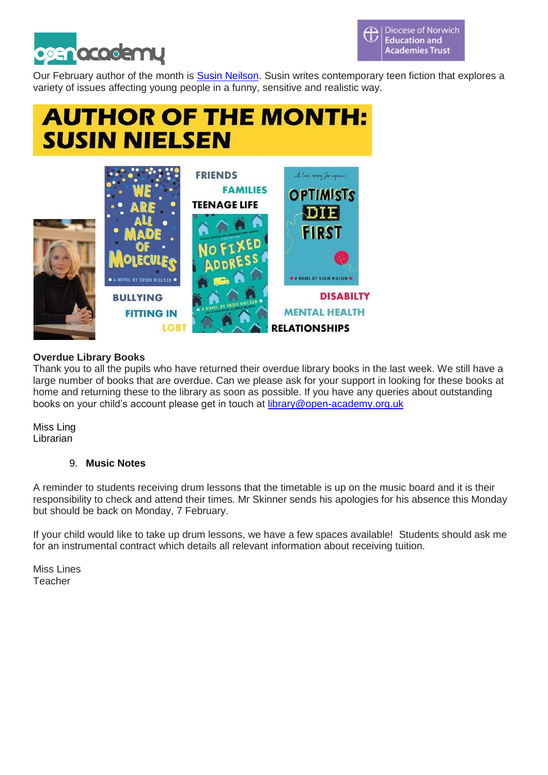

Our February author of the month is Susin [Neilson.](https://susinnielsen.com/) Susin writes contemporary teen fiction that explores a variety of issues affecting young people in a funny, sensitive and realistic way.

# **AUTHOR OF THE MONTH: SUSIN NIELSEN**



# **Overdue Library Books**

Thank you to all the pupils who have returned their overdue library books in the last week. We still have a large number of books that are overdue. Can we please ask for your support in looking for these books at home and returning these to the library as soon as possible. If you have any queries about outstanding books on your child's account please get in touch at [library@open-academy.org.uk](mailto:library@open-academy.org.uk)

Miss Ling **Librarian** 

# 9. **Music Notes**

A reminder to students receiving drum lessons that the timetable is up on the music board and it is their responsibility to check and attend their times. Mr Skinner sends his apologies for his absence this Monday but should be back on Monday, 7 February.

If your child would like to take up drum lessons, we have a few spaces available! Students should ask me for an instrumental contract which details all relevant information about receiving tuition.

Miss Lines Teacher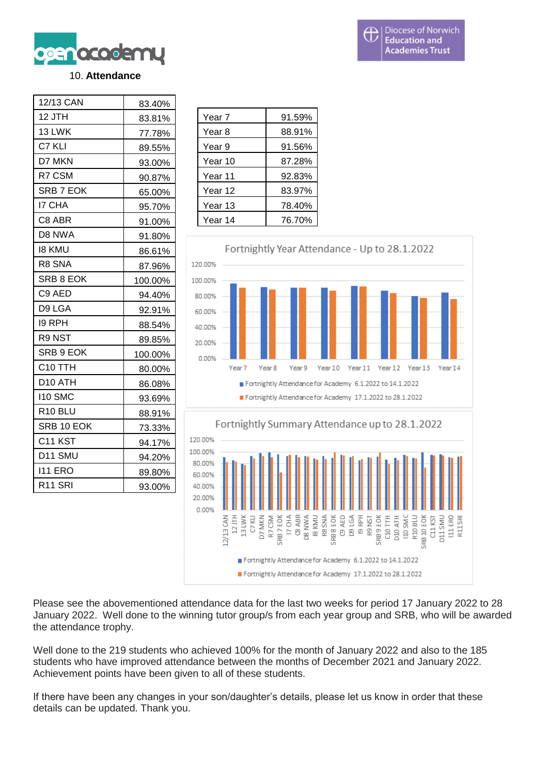

### 10. **Attendance**

| 12/13 CAN           | 83.40%  |
|---------------------|---------|
| 12 JTH              | 83.81%  |
| 13 LWK              | 77.78%  |
| C7 KLI              | 89.55%  |
| D7 MKN              | 93.00%  |
| R7 CSM              | 90.87%  |
| SRB 7 EOK           | 65.00%  |
| <b>I7 CHA</b>       | 95.70%  |
| C8 ABR              | 91.00%  |
| D8 NWA              | 91.80%  |
| <b>18 KMU</b>       | 86.61%  |
| R8 SNA              | 87.96%  |
| SRB 8 EOK           | 100.00% |
| C9 AED              | 94.40%  |
| D9 LGA              | 92.91%  |
| 19 RPH              | 88.54%  |
| R9 NST              | 89.85%  |
| SRB 9 EOK           | 100.00% |
| C <sub>10</sub> TTH | 80.00%  |
| D10 ATH             | 86.08%  |
| 110 SMC             | 93.69%  |
| R <sub>10</sub> BLU | 88.91%  |
| SRB 10 EOK          | 73.33%  |
| C <sub>11</sub> KST | 94.17%  |
| D11 SMU             | 94.20%  |
| <b>I11 ERO</b>      | 89.80%  |
| R <sub>11</sub> SRI | 93.00%  |

| Year 7  | 91.59% |
|---------|--------|
| Year 8  | 88.91% |
| Year 9  | 91.56% |
| Year 10 | 87.28% |
| Year 11 | 92.83% |
| Year 12 | 83.97% |
| Year 13 | 78.40% |
| Year 14 | 76.70% |



Please see the abovementioned attendance data for the last two weeks for period 17 January 2022 to 28 January 2022. Well done to the winning tutor group/s from each year group and SRB, who will be awarded the attendance trophy.

Well done to the 219 students who achieved 100% for the month of January 2022 and also to the 185 students who have improved attendance between the months of December 2021 and January 2022. Achievement points have been given to all of these students.

If there have been any changes in your son/daughter's details, please let us know in order that these details can be updated. Thank you.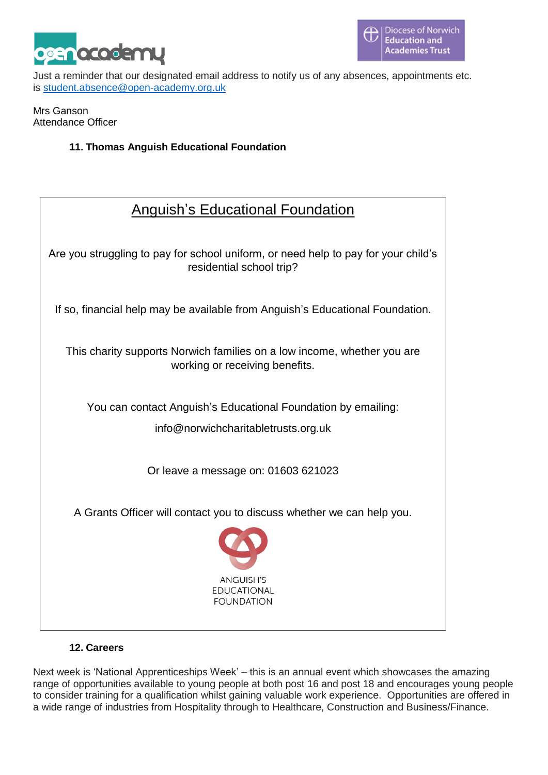

Just a reminder that our designated email address to notify us of any absences, appointments etc. is [student.absence@open-academy.org.uk](mailto:student.absence@open-academy.org.uk)

Mrs Ganson Attendance Officer

# **11. Thomas Anguish Educational Foundation**

**Anguish's Educational Foundation**<br>
This charged of pay for school uniform, or need help to pay for your child's<br>
residential school trip?<br>
If so, financial help may be available from Anguish's Educational Foundation.<br>
Thi Are you struggling to pay for school uniform, or need help to pay for your child's residential school trip? If so, financial help may be available from Anguish's Educational Foundation. This charity supports Norwich families on a low income, whether you are working or receiving benefits. You can contact Anguish's Educational Foundation by emailing: info@norwichcharitabletrusts.org.uk Or leave a message on: 01603 621023 A Grants Officer will contact you to discuss whether we can help you.

### **12. Careers**

Next week is 'National Apprenticeships Week' – this is an annual event which showcases the amazing range of opportunities available to young people at both post 16 and post 18 and encourages young people to consider training for a qualification whilst gaining valuable work experience. Opportunities are offered in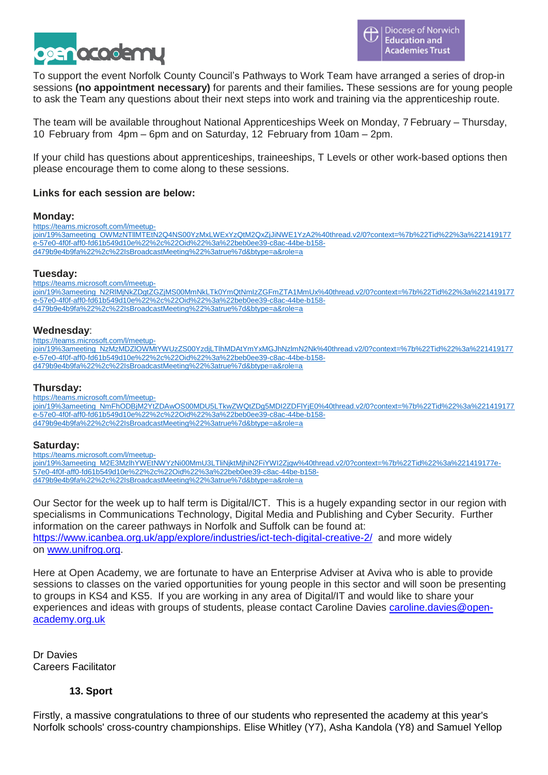

To support the event Norfolk County Council's Pathways to Work Team have arranged a series of drop-in sessions **(no appointment necessary)** for parents and their families**.** These sessions are for young people to ask the Team any questions about their next steps into work and training via the apprenticeship route.

The team will be available throughout National Apprenticeships Week on Monday, 7 February – Thursday, 10 February from 4pm – 6pm and on Saturday, 12 February from 10am – 2pm.

If your child has questions about apprenticeships, traineeships, T Levels or other work-based options then please encourage them to come along to these sessions.

### **Links for each session are below:**

### **Monday:**

[https://teams.microsoft.com/l/meetup](https://eur02.safelinks.protection.outlook.com/ap/t-59584e83/?url=https%3A%2F%2Fteams.microsoft.com%2Fl%2Fmeetup-join%2F19%253ameeting_OWMzNTllMTEtN2Q4NS00YzMxLWExYzQtM2QxZjJiNWE1YzA2%2540thread.v2%2F0%3Fcontext%3D%257b%2522Tid%2522%253a%25221419177e-57e0-4f0f-aff0-fd61b549d10e%2522%252c%2522Oid%2522%253a%2522beb0ee39-c8ac-44be-b158-d479b9e4b9fa%2522%252c%2522IsBroadcastMeeting%2522%253atrue%257d%26btype%3Da%26role%3Da&data=04%7C01%7Cmelvyn.ruff%40norfolk.gov.uk%7Cc7dfa2c48c674dc884d608d9e652f353%7C1419177e57e04f0faff0fd61b549d10e%7C0%7C0%7C637794066198790602%7CUnknown%7CTWFpbGZsb3d8eyJWIjoiMC4wLjAwMDAiLCJQIjoiV2luMzIiLCJBTiI6Ik1haWwiLCJXVCI6Mn0%3D%7C3000&sdata=UWfcNucubRZoowzj62%2BT37PRQGd3UqL8Y54yeFqhLKU%3D&reserved=0)[join/19%3ameeting\\_OWMzNTllMTEtN2Q4NS00YzMxLWExYzQtM2QxZjJiNWE1YzA2%40thread.v2/0?context=%7b%22Tid%22%3a%221419177](https://eur02.safelinks.protection.outlook.com/ap/t-59584e83/?url=https%3A%2F%2Fteams.microsoft.com%2Fl%2Fmeetup-join%2F19%253ameeting_OWMzNTllMTEtN2Q4NS00YzMxLWExYzQtM2QxZjJiNWE1YzA2%2540thread.v2%2F0%3Fcontext%3D%257b%2522Tid%2522%253a%25221419177e-57e0-4f0f-aff0-fd61b549d10e%2522%252c%2522Oid%2522%253a%2522beb0ee39-c8ac-44be-b158-d479b9e4b9fa%2522%252c%2522IsBroadcastMeeting%2522%253atrue%257d%26btype%3Da%26role%3Da&data=04%7C01%7Cmelvyn.ruff%40norfolk.gov.uk%7Cc7dfa2c48c674dc884d608d9e652f353%7C1419177e57e04f0faff0fd61b549d10e%7C0%7C0%7C637794066198790602%7CUnknown%7CTWFpbGZsb3d8eyJWIjoiMC4wLjAwMDAiLCJQIjoiV2luMzIiLCJBTiI6Ik1haWwiLCJXVCI6Mn0%3D%7C3000&sdata=UWfcNucubRZoowzj62%2BT37PRQGd3UqL8Y54yeFqhLKU%3D&reserved=0) [e-57e0-4f0f-aff0-fd61b549d10e%22%2c%22Oid%22%3a%22beb0ee39-c8ac-44be-b158](https://eur02.safelinks.protection.outlook.com/ap/t-59584e83/?url=https%3A%2F%2Fteams.microsoft.com%2Fl%2Fmeetup-join%2F19%253ameeting_OWMzNTllMTEtN2Q4NS00YzMxLWExYzQtM2QxZjJiNWE1YzA2%2540thread.v2%2F0%3Fcontext%3D%257b%2522Tid%2522%253a%25221419177e-57e0-4f0f-aff0-fd61b549d10e%2522%252c%2522Oid%2522%253a%2522beb0ee39-c8ac-44be-b158-d479b9e4b9fa%2522%252c%2522IsBroadcastMeeting%2522%253atrue%257d%26btype%3Da%26role%3Da&data=04%7C01%7Cmelvyn.ruff%40norfolk.gov.uk%7Cc7dfa2c48c674dc884d608d9e652f353%7C1419177e57e04f0faff0fd61b549d10e%7C0%7C0%7C637794066198790602%7CUnknown%7CTWFpbGZsb3d8eyJWIjoiMC4wLjAwMDAiLCJQIjoiV2luMzIiLCJBTiI6Ik1haWwiLCJXVCI6Mn0%3D%7C3000&sdata=UWfcNucubRZoowzj62%2BT37PRQGd3UqL8Y54yeFqhLKU%3D&reserved=0) [d479b9e4b9fa%22%2c%22IsBroadcastMeeting%22%3atrue%7d&btype=a&role=a](https://eur02.safelinks.protection.outlook.com/ap/t-59584e83/?url=https%3A%2F%2Fteams.microsoft.com%2Fl%2Fmeetup-join%2F19%253ameeting_OWMzNTllMTEtN2Q4NS00YzMxLWExYzQtM2QxZjJiNWE1YzA2%2540thread.v2%2F0%3Fcontext%3D%257b%2522Tid%2522%253a%25221419177e-57e0-4f0f-aff0-fd61b549d10e%2522%252c%2522Oid%2522%253a%2522beb0ee39-c8ac-44be-b158-d479b9e4b9fa%2522%252c%2522IsBroadcastMeeting%2522%253atrue%257d%26btype%3Da%26role%3Da&data=04%7C01%7Cmelvyn.ruff%40norfolk.gov.uk%7Cc7dfa2c48c674dc884d608d9e652f353%7C1419177e57e04f0faff0fd61b549d10e%7C0%7C0%7C637794066198790602%7CUnknown%7CTWFpbGZsb3d8eyJWIjoiMC4wLjAwMDAiLCJQIjoiV2luMzIiLCJBTiI6Ik1haWwiLCJXVCI6Mn0%3D%7C3000&sdata=UWfcNucubRZoowzj62%2BT37PRQGd3UqL8Y54yeFqhLKU%3D&reserved=0)

### **Tuesday:**

[https://teams.microsoft.com/l/meetup](https://eur02.safelinks.protection.outlook.com/ap/t-59584e83/?url=https%3A%2F%2Fteams.microsoft.com%2Fl%2Fmeetup-join%2F19%253ameeting_N2RlMjNkZDgtZGZjMS00MmNkLTk0YmQtNmIzZGFmZTA1MmUx%2540thread.v2%2F0%3Fcontext%3D%257b%2522Tid%2522%253a%25221419177e-57e0-4f0f-aff0-fd61b549d10e%2522%252c%2522Oid%2522%253a%2522beb0ee39-c8ac-44be-b158-d479b9e4b9fa%2522%252c%2522IsBroadcastMeeting%2522%253atrue%257d%26btype%3Da%26role%3Da&data=04%7C01%7Cmelvyn.ruff%40norfolk.gov.uk%7Cc7dfa2c48c674dc884d608d9e652f353%7C1419177e57e04f0faff0fd61b549d10e%7C0%7C0%7C637794066198790602%7CUnknown%7CTWFpbGZsb3d8eyJWIjoiMC4wLjAwMDAiLCJQIjoiV2luMzIiLCJBTiI6Ik1haWwiLCJXVCI6Mn0%3D%7C3000&sdata=SN%2Bu6l1mAe4I39L0RKw8Cn6upmYWkdtOMk6Gt23Sr7I%3D&reserved=0)[join/19%3ameeting\\_N2RlMjNkZDgtZGZjMS00MmNkLTk0YmQtNmIzZGFmZTA1MmUx%40thread.v2/0?context=%7b%22Tid%22%3a%221419177](https://eur02.safelinks.protection.outlook.com/ap/t-59584e83/?url=https%3A%2F%2Fteams.microsoft.com%2Fl%2Fmeetup-join%2F19%253ameeting_N2RlMjNkZDgtZGZjMS00MmNkLTk0YmQtNmIzZGFmZTA1MmUx%2540thread.v2%2F0%3Fcontext%3D%257b%2522Tid%2522%253a%25221419177e-57e0-4f0f-aff0-fd61b549d10e%2522%252c%2522Oid%2522%253a%2522beb0ee39-c8ac-44be-b158-d479b9e4b9fa%2522%252c%2522IsBroadcastMeeting%2522%253atrue%257d%26btype%3Da%26role%3Da&data=04%7C01%7Cmelvyn.ruff%40norfolk.gov.uk%7Cc7dfa2c48c674dc884d608d9e652f353%7C1419177e57e04f0faff0fd61b549d10e%7C0%7C0%7C637794066198790602%7CUnknown%7CTWFpbGZsb3d8eyJWIjoiMC4wLjAwMDAiLCJQIjoiV2luMzIiLCJBTiI6Ik1haWwiLCJXVCI6Mn0%3D%7C3000&sdata=SN%2Bu6l1mAe4I39L0RKw8Cn6upmYWkdtOMk6Gt23Sr7I%3D&reserved=0) [e-57e0-4f0f-aff0-fd61b549d10e%22%2c%22Oid%22%3a%22beb0ee39-c8ac-44be-b158](https://eur02.safelinks.protection.outlook.com/ap/t-59584e83/?url=https%3A%2F%2Fteams.microsoft.com%2Fl%2Fmeetup-join%2F19%253ameeting_N2RlMjNkZDgtZGZjMS00MmNkLTk0YmQtNmIzZGFmZTA1MmUx%2540thread.v2%2F0%3Fcontext%3D%257b%2522Tid%2522%253a%25221419177e-57e0-4f0f-aff0-fd61b549d10e%2522%252c%2522Oid%2522%253a%2522beb0ee39-c8ac-44be-b158-d479b9e4b9fa%2522%252c%2522IsBroadcastMeeting%2522%253atrue%257d%26btype%3Da%26role%3Da&data=04%7C01%7Cmelvyn.ruff%40norfolk.gov.uk%7Cc7dfa2c48c674dc884d608d9e652f353%7C1419177e57e04f0faff0fd61b549d10e%7C0%7C0%7C637794066198790602%7CUnknown%7CTWFpbGZsb3d8eyJWIjoiMC4wLjAwMDAiLCJQIjoiV2luMzIiLCJBTiI6Ik1haWwiLCJXVCI6Mn0%3D%7C3000&sdata=SN%2Bu6l1mAe4I39L0RKw8Cn6upmYWkdtOMk6Gt23Sr7I%3D&reserved=0) [d479b9e4b9fa%22%2c%22IsBroadcastMeeting%22%3atrue%7d&btype=a&role=a](https://eur02.safelinks.protection.outlook.com/ap/t-59584e83/?url=https%3A%2F%2Fteams.microsoft.com%2Fl%2Fmeetup-join%2F19%253ameeting_N2RlMjNkZDgtZGZjMS00MmNkLTk0YmQtNmIzZGFmZTA1MmUx%2540thread.v2%2F0%3Fcontext%3D%257b%2522Tid%2522%253a%25221419177e-57e0-4f0f-aff0-fd61b549d10e%2522%252c%2522Oid%2522%253a%2522beb0ee39-c8ac-44be-b158-d479b9e4b9fa%2522%252c%2522IsBroadcastMeeting%2522%253atrue%257d%26btype%3Da%26role%3Da&data=04%7C01%7Cmelvyn.ruff%40norfolk.gov.uk%7Cc7dfa2c48c674dc884d608d9e652f353%7C1419177e57e04f0faff0fd61b549d10e%7C0%7C0%7C637794066198790602%7CUnknown%7CTWFpbGZsb3d8eyJWIjoiMC4wLjAwMDAiLCJQIjoiV2luMzIiLCJBTiI6Ik1haWwiLCJXVCI6Mn0%3D%7C3000&sdata=SN%2Bu6l1mAe4I39L0RKw8Cn6upmYWkdtOMk6Gt23Sr7I%3D&reserved=0)

### **Wednesday**:

[https://teams.microsoft.com/l/meetup-](https://eur02.safelinks.protection.outlook.com/ap/t-59584e83/?url=https%3A%2F%2Fteams.microsoft.com%2Fl%2Fmeetup-join%2F19%253ameeting_NzMzMDZlOWMtYWUzZS00YzdjLTlhMDAtYmYxMGJhNzlmN2Nk%2540thread.v2%2F0%3Fcontext%3D%257b%2522Tid%2522%253a%25221419177e-57e0-4f0f-aff0-fd61b549d10e%2522%252c%2522Oid%2522%253a%2522beb0ee39-c8ac-44be-b158-d479b9e4b9fa%2522%252c%2522IsBroadcastMeeting%2522%253atrue%257d%26btype%3Da%26role%3Da&data=04%7C01%7Cmelvyn.ruff%40norfolk.gov.uk%7Cc7dfa2c48c674dc884d608d9e652f353%7C1419177e57e04f0faff0fd61b549d10e%7C0%7C0%7C637794066198790602%7CUnknown%7CTWFpbGZsb3d8eyJWIjoiMC4wLjAwMDAiLCJQIjoiV2luMzIiLCJBTiI6Ik1haWwiLCJXVCI6Mn0%3D%7C3000&sdata=WQt5Ur50AcS1xck8v9HgzCDg9Ms5f4GX1%2FzTN%2BR0kVA%3D&reserved=0)

[join/19%3ameeting\\_NzMzMDZlOWMtYWUzZS00YzdjLTlhMDAtYmYxMGJhNzlmN2Nk%40thread.v2/0?context=%7b%22Tid%22%3a%221419177](https://eur02.safelinks.protection.outlook.com/ap/t-59584e83/?url=https%3A%2F%2Fteams.microsoft.com%2Fl%2Fmeetup-join%2F19%253ameeting_NzMzMDZlOWMtYWUzZS00YzdjLTlhMDAtYmYxMGJhNzlmN2Nk%2540thread.v2%2F0%3Fcontext%3D%257b%2522Tid%2522%253a%25221419177e-57e0-4f0f-aff0-fd61b549d10e%2522%252c%2522Oid%2522%253a%2522beb0ee39-c8ac-44be-b158-d479b9e4b9fa%2522%252c%2522IsBroadcastMeeting%2522%253atrue%257d%26btype%3Da%26role%3Da&data=04%7C01%7Cmelvyn.ruff%40norfolk.gov.uk%7Cc7dfa2c48c674dc884d608d9e652f353%7C1419177e57e04f0faff0fd61b549d10e%7C0%7C0%7C637794066198790602%7CUnknown%7CTWFpbGZsb3d8eyJWIjoiMC4wLjAwMDAiLCJQIjoiV2luMzIiLCJBTiI6Ik1haWwiLCJXVCI6Mn0%3D%7C3000&sdata=WQt5Ur50AcS1xck8v9HgzCDg9Ms5f4GX1%2FzTN%2BR0kVA%3D&reserved=0) [e-57e0-4f0f-aff0-fd61b549d10e%22%2c%22Oid%22%3a%22beb0ee39-c8ac-44be-b158](https://eur02.safelinks.protection.outlook.com/ap/t-59584e83/?url=https%3A%2F%2Fteams.microsoft.com%2Fl%2Fmeetup-join%2F19%253ameeting_NzMzMDZlOWMtYWUzZS00YzdjLTlhMDAtYmYxMGJhNzlmN2Nk%2540thread.v2%2F0%3Fcontext%3D%257b%2522Tid%2522%253a%25221419177e-57e0-4f0f-aff0-fd61b549d10e%2522%252c%2522Oid%2522%253a%2522beb0ee39-c8ac-44be-b158-d479b9e4b9fa%2522%252c%2522IsBroadcastMeeting%2522%253atrue%257d%26btype%3Da%26role%3Da&data=04%7C01%7Cmelvyn.ruff%40norfolk.gov.uk%7Cc7dfa2c48c674dc884d608d9e652f353%7C1419177e57e04f0faff0fd61b549d10e%7C0%7C0%7C637794066198790602%7CUnknown%7CTWFpbGZsb3d8eyJWIjoiMC4wLjAwMDAiLCJQIjoiV2luMzIiLCJBTiI6Ik1haWwiLCJXVCI6Mn0%3D%7C3000&sdata=WQt5Ur50AcS1xck8v9HgzCDg9Ms5f4GX1%2FzTN%2BR0kVA%3D&reserved=0) [d479b9e4b9fa%22%2c%22IsBroadcastMeeting%22%3atrue%7d&btype=a&role=a](https://eur02.safelinks.protection.outlook.com/ap/t-59584e83/?url=https%3A%2F%2Fteams.microsoft.com%2Fl%2Fmeetup-join%2F19%253ameeting_NzMzMDZlOWMtYWUzZS00YzdjLTlhMDAtYmYxMGJhNzlmN2Nk%2540thread.v2%2F0%3Fcontext%3D%257b%2522Tid%2522%253a%25221419177e-57e0-4f0f-aff0-fd61b549d10e%2522%252c%2522Oid%2522%253a%2522beb0ee39-c8ac-44be-b158-d479b9e4b9fa%2522%252c%2522IsBroadcastMeeting%2522%253atrue%257d%26btype%3Da%26role%3Da&data=04%7C01%7Cmelvyn.ruff%40norfolk.gov.uk%7Cc7dfa2c48c674dc884d608d9e652f353%7C1419177e57e04f0faff0fd61b549d10e%7C0%7C0%7C637794066198790602%7CUnknown%7CTWFpbGZsb3d8eyJWIjoiMC4wLjAwMDAiLCJQIjoiV2luMzIiLCJBTiI6Ik1haWwiLCJXVCI6Mn0%3D%7C3000&sdata=WQt5Ur50AcS1xck8v9HgzCDg9Ms5f4GX1%2FzTN%2BR0kVA%3D&reserved=0)

### **Thursday:**

[https://teams.microsoft.com/l/meetup](https://eur02.safelinks.protection.outlook.com/ap/t-59584e83/?url=https%3A%2F%2Fteams.microsoft.com%2Fl%2Fmeetup-join%2F19%253ameeting_NmFhODBjM2YtZDAwOS00MDU5LTkwZWQtZDg5MDI2ZDFlYjE0%2540thread.v2%2F0%3Fcontext%3D%257b%2522Tid%2522%253a%25221419177e-57e0-4f0f-aff0-fd61b549d10e%2522%252c%2522Oid%2522%253a%2522beb0ee39-c8ac-44be-b158-d479b9e4b9fa%2522%252c%2522IsBroadcastMeeting%2522%253atrue%257d%26btype%3Da%26role%3Da&data=04%7C01%7Cmelvyn.ruff%40norfolk.gov.uk%7Cc7dfa2c48c674dc884d608d9e652f353%7C1419177e57e04f0faff0fd61b549d10e%7C0%7C0%7C637794066198790602%7CUnknown%7CTWFpbGZsb3d8eyJWIjoiMC4wLjAwMDAiLCJQIjoiV2luMzIiLCJBTiI6Ik1haWwiLCJXVCI6Mn0%3D%7C3000&sdata=C0oczE9Z6Pc1cpjZ9rfS%2BNzctzS08z4hKKwtt6Q8NqU%3D&reserved=0)[join/19%3ameeting\\_NmFhODBjM2YtZDAwOS00MDU5LTkwZWQtZDg5MDI2ZDFlYjE0%40thread.v2/0?context=%7b%22Tid%22%3a%221419177](https://eur02.safelinks.protection.outlook.com/ap/t-59584e83/?url=https%3A%2F%2Fteams.microsoft.com%2Fl%2Fmeetup-join%2F19%253ameeting_NmFhODBjM2YtZDAwOS00MDU5LTkwZWQtZDg5MDI2ZDFlYjE0%2540thread.v2%2F0%3Fcontext%3D%257b%2522Tid%2522%253a%25221419177e-57e0-4f0f-aff0-fd61b549d10e%2522%252c%2522Oid%2522%253a%2522beb0ee39-c8ac-44be-b158-d479b9e4b9fa%2522%252c%2522IsBroadcastMeeting%2522%253atrue%257d%26btype%3Da%26role%3Da&data=04%7C01%7Cmelvyn.ruff%40norfolk.gov.uk%7Cc7dfa2c48c674dc884d608d9e652f353%7C1419177e57e04f0faff0fd61b549d10e%7C0%7C0%7C637794066198790602%7CUnknown%7CTWFpbGZsb3d8eyJWIjoiMC4wLjAwMDAiLCJQIjoiV2luMzIiLCJBTiI6Ik1haWwiLCJXVCI6Mn0%3D%7C3000&sdata=C0oczE9Z6Pc1cpjZ9rfS%2BNzctzS08z4hKKwtt6Q8NqU%3D&reserved=0)

[e-57e0-4f0f-aff0-fd61b549d10e%22%2c%22Oid%22%3a%22beb0ee39-c8ac-44be-b158](https://eur02.safelinks.protection.outlook.com/ap/t-59584e83/?url=https%3A%2F%2Fteams.microsoft.com%2Fl%2Fmeetup-join%2F19%253ameeting_NmFhODBjM2YtZDAwOS00MDU5LTkwZWQtZDg5MDI2ZDFlYjE0%2540thread.v2%2F0%3Fcontext%3D%257b%2522Tid%2522%253a%25221419177e-57e0-4f0f-aff0-fd61b549d10e%2522%252c%2522Oid%2522%253a%2522beb0ee39-c8ac-44be-b158-d479b9e4b9fa%2522%252c%2522IsBroadcastMeeting%2522%253atrue%257d%26btype%3Da%26role%3Da&data=04%7C01%7Cmelvyn.ruff%40norfolk.gov.uk%7Cc7dfa2c48c674dc884d608d9e652f353%7C1419177e57e04f0faff0fd61b549d10e%7C0%7C0%7C637794066198790602%7CUnknown%7CTWFpbGZsb3d8eyJWIjoiMC4wLjAwMDAiLCJQIjoiV2luMzIiLCJBTiI6Ik1haWwiLCJXVCI6Mn0%3D%7C3000&sdata=C0oczE9Z6Pc1cpjZ9rfS%2BNzctzS08z4hKKwtt6Q8NqU%3D&reserved=0) [d479b9e4b9fa%22%2c%22IsBroadcastMeeting%22%3atrue%7d&btype=a&role=a](https://eur02.safelinks.protection.outlook.com/ap/t-59584e83/?url=https%3A%2F%2Fteams.microsoft.com%2Fl%2Fmeetup-join%2F19%253ameeting_NmFhODBjM2YtZDAwOS00MDU5LTkwZWQtZDg5MDI2ZDFlYjE0%2540thread.v2%2F0%3Fcontext%3D%257b%2522Tid%2522%253a%25221419177e-57e0-4f0f-aff0-fd61b549d10e%2522%252c%2522Oid%2522%253a%2522beb0ee39-c8ac-44be-b158-d479b9e4b9fa%2522%252c%2522IsBroadcastMeeting%2522%253atrue%257d%26btype%3Da%26role%3Da&data=04%7C01%7Cmelvyn.ruff%40norfolk.gov.uk%7Cc7dfa2c48c674dc884d608d9e652f353%7C1419177e57e04f0faff0fd61b549d10e%7C0%7C0%7C637794066198790602%7CUnknown%7CTWFpbGZsb3d8eyJWIjoiMC4wLjAwMDAiLCJQIjoiV2luMzIiLCJBTiI6Ik1haWwiLCJXVCI6Mn0%3D%7C3000&sdata=C0oczE9Z6Pc1cpjZ9rfS%2BNzctzS08z4hKKwtt6Q8NqU%3D&reserved=0)

### **Saturday:**

[https://teams.microsoft.com/l/meetup-](https://eur02.safelinks.protection.outlook.com/ap/t-59584e83/?url=https%3A%2F%2Fteams.microsoft.com%2Fl%2Fmeetup-join%2F19%253ameeting_M2E3MzlhYWEtNWYzNi00MmU3LTliNjktMjhiN2FiYWI2Zjgw%2540thread.v2%2F0%3Fcontext%3D%257b%2522Tid%2522%253a%25221419177e-57e0-4f0f-aff0-fd61b549d10e%2522%252c%2522Oid%2522%253a%2522beb0ee39-c8ac-44be-b158-d479b9e4b9fa%2522%252c%2522IsBroadcastMeeting%2522%253atrue%257d%26btype%3Da%26role%3Da&data=04%7C01%7Cmelvyn.ruff%40norfolk.gov.uk%7Cc7dfa2c48c674dc884d608d9e652f353%7C1419177e57e04f0faff0fd61b549d10e%7C0%7C0%7C637794066198790602%7CUnknown%7CTWFpbGZsb3d8eyJWIjoiMC4wLjAwMDAiLCJQIjoiV2luMzIiLCJBTiI6Ik1haWwiLCJXVCI6Mn0%3D%7C3000&sdata=kpKmRiEFCYsPeReqhrnxOd5holTmDbPdc8uPQxXdKFE%3D&reserved=0)

[join/19%3ameeting\\_M2E3MzlhYWEtNWYzNi00MmU3LTliNjktMjhiN2FiYWI2Zjgw%40thread.v2/0?context=%7b%22Tid%22%3a%221419177e-](https://eur02.safelinks.protection.outlook.com/ap/t-59584e83/?url=https%3A%2F%2Fteams.microsoft.com%2Fl%2Fmeetup-join%2F19%253ameeting_M2E3MzlhYWEtNWYzNi00MmU3LTliNjktMjhiN2FiYWI2Zjgw%2540thread.v2%2F0%3Fcontext%3D%257b%2522Tid%2522%253a%25221419177e-57e0-4f0f-aff0-fd61b549d10e%2522%252c%2522Oid%2522%253a%2522beb0ee39-c8ac-44be-b158-d479b9e4b9fa%2522%252c%2522IsBroadcastMeeting%2522%253atrue%257d%26btype%3Da%26role%3Da&data=04%7C01%7Cmelvyn.ruff%40norfolk.gov.uk%7Cc7dfa2c48c674dc884d608d9e652f353%7C1419177e57e04f0faff0fd61b549d10e%7C0%7C0%7C637794066198790602%7CUnknown%7CTWFpbGZsb3d8eyJWIjoiMC4wLjAwMDAiLCJQIjoiV2luMzIiLCJBTiI6Ik1haWwiLCJXVCI6Mn0%3D%7C3000&sdata=kpKmRiEFCYsPeReqhrnxOd5holTmDbPdc8uPQxXdKFE%3D&reserved=0)[57e0-4f0f-aff0-fd61b549d10e%22%2c%22Oid%22%3a%22beb0ee39-c8ac-44be-b158](https://eur02.safelinks.protection.outlook.com/ap/t-59584e83/?url=https%3A%2F%2Fteams.microsoft.com%2Fl%2Fmeetup-join%2F19%253ameeting_M2E3MzlhYWEtNWYzNi00MmU3LTliNjktMjhiN2FiYWI2Zjgw%2540thread.v2%2F0%3Fcontext%3D%257b%2522Tid%2522%253a%25221419177e-57e0-4f0f-aff0-fd61b549d10e%2522%252c%2522Oid%2522%253a%2522beb0ee39-c8ac-44be-b158-d479b9e4b9fa%2522%252c%2522IsBroadcastMeeting%2522%253atrue%257d%26btype%3Da%26role%3Da&data=04%7C01%7Cmelvyn.ruff%40norfolk.gov.uk%7Cc7dfa2c48c674dc884d608d9e652f353%7C1419177e57e04f0faff0fd61b549d10e%7C0%7C0%7C637794066198790602%7CUnknown%7CTWFpbGZsb3d8eyJWIjoiMC4wLjAwMDAiLCJQIjoiV2luMzIiLCJBTiI6Ik1haWwiLCJXVCI6Mn0%3D%7C3000&sdata=kpKmRiEFCYsPeReqhrnxOd5holTmDbPdc8uPQxXdKFE%3D&reserved=0) [d479b9e4b9fa%22%2c%22IsBroadcastMeeting%22%3atrue%7d&btype=a&role=a](https://eur02.safelinks.protection.outlook.com/ap/t-59584e83/?url=https%3A%2F%2Fteams.microsoft.com%2Fl%2Fmeetup-join%2F19%253ameeting_M2E3MzlhYWEtNWYzNi00MmU3LTliNjktMjhiN2FiYWI2Zjgw%2540thread.v2%2F0%3Fcontext%3D%257b%2522Tid%2522%253a%25221419177e-57e0-4f0f-aff0-fd61b549d10e%2522%252c%2522Oid%2522%253a%2522beb0ee39-c8ac-44be-b158-d479b9e4b9fa%2522%252c%2522IsBroadcastMeeting%2522%253atrue%257d%26btype%3Da%26role%3Da&data=04%7C01%7Cmelvyn.ruff%40norfolk.gov.uk%7Cc7dfa2c48c674dc884d608d9e652f353%7C1419177e57e04f0faff0fd61b549d10e%7C0%7C0%7C637794066198790602%7CUnknown%7CTWFpbGZsb3d8eyJWIjoiMC4wLjAwMDAiLCJQIjoiV2luMzIiLCJBTiI6Ik1haWwiLCJXVCI6Mn0%3D%7C3000&sdata=kpKmRiEFCYsPeReqhrnxOd5holTmDbPdc8uPQxXdKFE%3D&reserved=0)

Our Sector for the week up to half term is Digital/ICT. This is a hugely expanding sector in our region with specialisms in Communications Technology, Digital Media and Publishing and Cyber Security. Further information on the career pathways in Norfolk and Suffolk can be found at: <https://www.icanbea.org.uk/app/explore/industries/ict-tech-digital-creative-2/>and more widely on [www.unifrog.org.](http://www.unifrog.org/)

Here at Open Academy, we are fortunate to have an Enterprise Adviser at Aviva who is able to provide sessions to classes on the varied opportunities for young people in this sector and will soon be presenting to groups in KS4 and KS5. If you are working in any area of Digital/IT and would like to share your experiences and ideas with groups of students, please contact Caroline Davies [caroline.davies@open](mailto:caroline.davies@open-academy.org.uk)[academy.org.uk](mailto:caroline.davies@open-academy.org.uk)

Dr Davies Careers Facilitator

### **13. Sport**

Firstly, a massive congratulations to three of our students who represented the academy at this year's Norfolk schools' cross-country championships. Elise Whitley (Y7), Asha Kandola (Y8) and Samuel Yellop